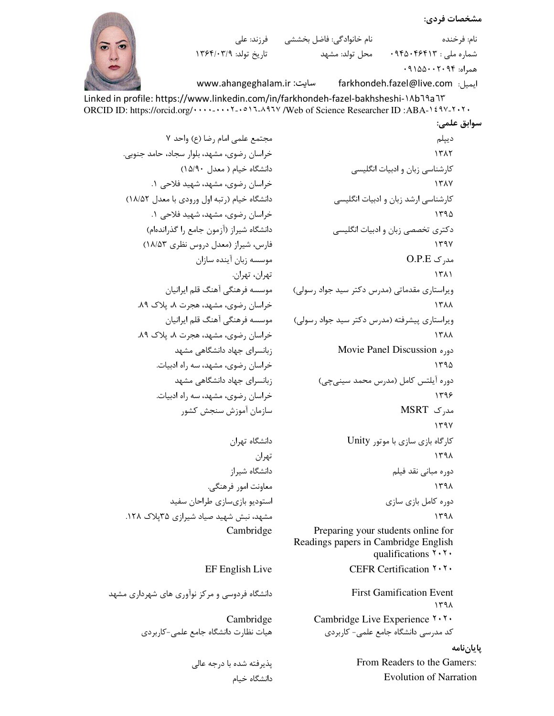```
مشخصات فردي:
```
شماره ملي : ۹۴۵۰۴۶۴۱۳

ايميل: farkhondeh.fazel@live.com

 $.9100 \cdot .7.99$  همراه:

نام: فرخنده

سوابق علمي:

```
نام خانوادگی: فاضل بخششی ه فرزند: علی
تاریخ تولد: ۱۳۶۴/۰۳/۹
```
www.ahangeghalam.ir :سایت

Linked in profile: https://www.linkedin.com/in/farkhondeh-fazel-bakhsheshi-1Ab19a1۳ 

محل تولد: مشهد

مجتمع علمی امام رضا (ع) واحد ٧ خراسان رضوی، مشهد، بلوار سجاد، حامد جنوبی. دانشگاه خیام ( معدل ١۵/٩٠) خراسان رضوي، مشهد، شهيد فلاحي ١. دانشگاه خیام (رتبه اول ورودی با معدل ١٨/٥٢) خراسان رضوي، مشهد، شهيد فلاحي ١. دانشگاه شیراز (آزمون جامع را گذراندهام) فارس، شیراز (معدل دروس نظری ۱۸/۵۳) موسسه زبان آینده سازان تهران، تهران. موسسه فرهنگی آهنگ قلم ایرانیان خراسان رضوی، مشهد، هجرت ۸، پلاک ۸۹. موسسه فرهنگی آهنگ قلم ایرانیان خراسان رضوي، مشهد، هجرت ٨، پلاک ٨٩. زبانسرای جهاد دانشگاهی مشهد خراسان رضوي، مشهد، سه راه ادبيات. زبانسرای جهاد دانشگاهی مشهد خراسان رضوي، مشهد، سه راه ادبيات. سازمان آموزش سنجش كشور

دانشگاه تهران تهران دانشگاه شیراز معاونت امور فرهنگي. استوديو بازيسازي طراحان سفيد مشهد، نبش شهید صیاد شیرازی ۳۵پلاک ۱۲۸. Cambridge

## EF English Live

دانشگاه فردوسی و مرکز نوآوری های شهرداری مشهد

Cambridge هیات نظارت دانشگاه جامع علمے-کاربردی

> یذیرفته شده با درجه عالی دانشگاه خىام

دييلم 1٣٨٢ کارشناسی زبان و ادبیات انگلیسی 1٣٨٧ کارشناسی ارشد زبان و ادبیات انگلیسی  $1490$ دکتری تخصصی زبان و ادبیات انگلیسی  $144V$  $O.P.E \sim \mu$ مد, ک  $1511$ وپراستاری مقدماتی (مدرس دکتر سید جواد رسولی) **ITAA** ویراستاری پیشرفته (مدرس دکتر سید جواد رسولی) **ITAA** دو, Movie Panel Discussion ١٣٩۵ دوره آیلتس کامل (مدرس محمد سینی چی) ۱۳۹۶ مدرک MSRT  $144V$ کارگاه بازی سازی با موتور Unity  $141$ دوره مبانی نقد فیلم  $144$ دوره كامل بازى سازى  $144A$ Preparing your students online for Readings papers in Cambridge English

CEFR Certification ۲۰۲۰

qualifications  $\mathbf{Y} \cdot \mathbf{Y} \cdot$ 

**First Gamification Event**  $141$ Cambridge Live Experience Y.Y. کد مدرسی دانشگاه جامع علمی– کاربردی ياياننامه

From Readers to the Gamers: **Evolution of Narration**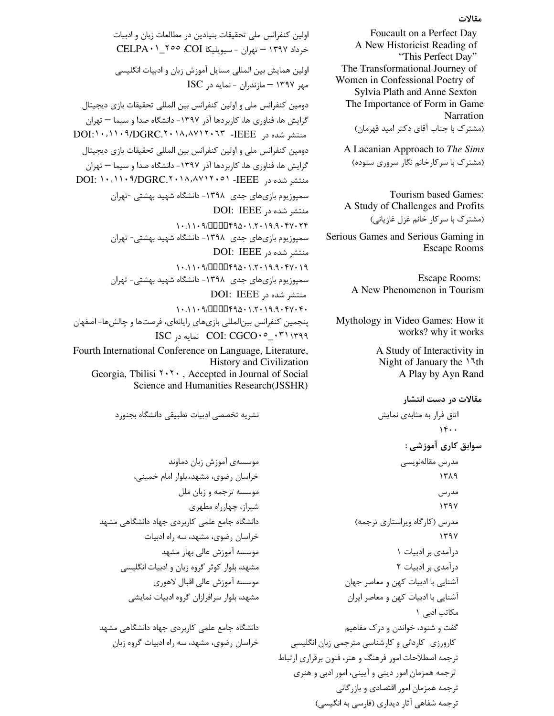## مقالات

Foucault on a Perfect Day A New Historicist Reading of "This Perfect Day" The Transformational Journey of Women in Confessional Poetry of Sylvia Plath and Anne Sexton The Importance of Form in Game Narration (مشترک با جناب آقای دکتر امید قهرمان)

 A Lacanian Approach to *The Sims* (مشترک با سرکارخانم نگار سروری ستوده)

Tourism based Games: A Study of Challenges and Profits (مشترک با سرکار خانم غزل غازیانی)

Serious Games and Serious Gaming in Escape Rooms

> Escape Rooms: A New Phenomenon in Tourism

Mythology in Video Games: How it works? why it works

> A Study of Interactivity in Night of January the ١٦th A Play by Ayn Rand

**مقالات در دست انتشار** اتاق فرار به مثابهى نمايش  $14.0$ سوابق کاری آموزش*ی* : مدرس مقالەنويسى  $1719$ مدر س  $1497$ مدرس (کارگاه ویراستاری ترجمه)  $1497$ درآمدی بر ادبیات ۱ درآمدی بر ادبیات ٢ آشنایی با ادبیات کهن و معاصر جهان آشنایی با ادبیات کهن و معاصر ایران مکاتب ادبے ِ ۱ گفت و شنود، خواندن و درک مفاهیم کارورزی کاردانی و کارشناسی مترجمی زبان انگلیسی ترجمه اصطلاحات امور فرهنگ و هنر، فنون برقراری ارتباط ترجمه همزمان امور ديني و آييني، امور ادبي و هنري ترجمه همزمان امور اقتصادي و بازرگاني ترجمه شفاهی آثار دیداری (فارسی به انگیسی)

اولین کنفرانس ملی تحقیقات بنیادین در مطالعات زبان و ادبیات خرداد ۱۳۹۷ – تهران - سيويليكا CELPA۰۱\_۲۰۰ . اولین همایش بین المللی مسایل آموزش زبان و ادبیات انگلیسی  $\text{ISC}$  مهر ۱۳۹۷ – مازندران - نمایه در دومین کنفرانس ملی و اولین کنفرانس بین المللی تحقیقات بازی دیجیتال گرایش ها، فناوری ها، کاربردها آذر ۱۳۹۷- دانشگاه صدا و سیما — تهران DOI: ۱۰, ۱۱۰۹/DGRC. ۲۰۱۸, ۸۷۱۲۰ TFEEE 3+ 3+ . DOI: ۱۰, ۱۱۰۹ دومين كنفرانس ملي و اولين كنفرانس بين المللي تحقيقات بازي ديجيتال گرایش ها، فناوری ها، کاربردها آذر ۱۳۹۷- دانشگاه صدا و سیما — تهران DOI: ١٠,١١٠٩/DGRC.٢٠١٨,٨٧١٢٠٥١ -IEEE سمپوزیوم بازی های جدی ۱۳۹۸- دانشگاه شهید بهشتی -تهران منتشر شده در DOI: IEEE 1.11.9/000494.17.19.9.47 سمپوزیوم بازیهای جدی ۱۳۹۸- دانشگاه شهید بهشتی- تهران منتشر شده در DOI: IEEE 1.11.9/000494.1.7.19.9.477.19 سمپوزیوم بازیهای جدی ۱۳۹۸- دانشگاه شهید بهشتی- تهران DOI: IEEE 3, منتشر شده در  $10.1109$   $10007900 \cdot 1.7019.90909$ پنجمین کنفرانس بینالمللی بازیهای رایانهای، فرصتها و چالشها– اصفهان  $\text{ISC}$  ا ا $\text{COL: CGCO} \cdot \text{C}_1 \cdot \text{C}$ نمايه د Fourth International Conference on Language, Literature, History and Civilization Georgia, Tbilisi ٢٠٢٠ , Accepted in Journal of Social

Science and Humanities Research(JSSHR)

نشريه تخصصي ادبيات تطبيقي دانشگاه بجنورد

موسسهى آموزش زبان دماوند خراسان رضوي، مشهد،.بلوار امام خميني، موسسه ترجمه و زبان ملل شیراز، چهارراه مطهری دانشگاه جامع علمی کاربردی جهاد دانشگاهی مشهد خراسان رضوي، مشهد، سه راه ادبيات موسسه آموزش عالی بهار مشهد مشهد، بلوار کوثر گروه زبان و ادبیات انگلیسی موسسه آموزش عالی اقبال لاهوری مشهد، بلوار سرافرازان گروه ادبیات نمایشی

دانشگاه جامع علمی کاربردی جهاد دانشگاهی مشهد خراسان رضوي، مشهد، سه راه ادبيات گروه زبان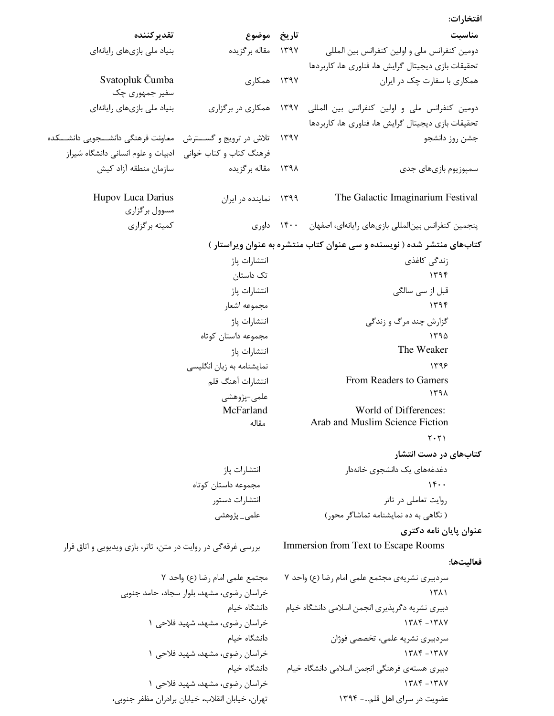افتخارات:

| مناسبت                                                                 |      | تاريخ موضوع                                      | تقدير كننده                                                  |  |
|------------------------------------------------------------------------|------|--------------------------------------------------|--------------------------------------------------------------|--|
| دومین کنفرانس ملی و اولین کنفرانس بین المللی                           |      | ۱۳۹۷ مقاله برگزیده                               | بنیاد ملی بازیهای رایانهای                                   |  |
| تحقیقات بازی دیجیتال گرایش ها، فناوری ها، کاربردها                     |      |                                                  |                                                              |  |
| همکاری با سفارت چک در ایران                                            |      | ۱۳۹۷ همکاری                                      | Svatopluk Čumba                                              |  |
|                                                                        |      |                                                  | سفير جمهوري چک                                               |  |
| دومین کنفرانس ملی و اولین کنفرانس بین المللی ۱۳۹۷ همکاری در برگزاری    |      |                                                  | بنیاد ملی بازیهای رایانهای                                   |  |
| تحقیقات بازی دیجیتال گرایش ها، فناوری ها، کاربردها                     |      |                                                  |                                                              |  |
| جشن روز دانشجو                                                         | ۱۳۹۷ |                                                  | تلاش در ترويج و گســترش معاونت فرهنگي دانشــجويي دانشــكده   |  |
|                                                                        |      |                                                  | فرهنگ کتاب و کتاب خوانی گادبیات و علوم انسانی دانشگاه شیراز  |  |
| سمپوزیوم بازیهای جدی                                                   |      | ۱۳۹۸ مقاله برگزیده                               | سازمان منطقه آزاد كيش                                        |  |
| The Galactic Imaginarium Festival                                      |      | ۱۳۹۹ نماینده در ایران                            | Hupov Luca Darius<br>مسوول برگزاري                           |  |
| پنجمین کنفرانس بینالمللی بازیهای رایانهای، اصفهان ۱۴۰۰ داوری           |      |                                                  | کمیته برگزاری                                                |  |
| کتابهای منتشر شده ( نویسنده و سی عنوان کتاب منتشره به عنوان ویراستار ) |      |                                                  |                                                              |  |
| زندگی کاغذی                                                            |      | انتشارات پاژ                                     |                                                              |  |
| ۱۳۹۴                                                                   |      | تک داستان                                        |                                                              |  |
| قبل از سی سالگی                                                        |      | انتشارات پاژ                                     |                                                              |  |
| 1496                                                                   |      | مجموعه اشعار                                     |                                                              |  |
| گزارش چند مرگ و زندگی                                                  |      | انتشارات پاژ                                     |                                                              |  |
| 1490                                                                   |      | مجموعه داستان كوتاه                              |                                                              |  |
| The Weaker                                                             |      | انتشارات پاژ                                     |                                                              |  |
| 1799                                                                   |      | نمایشنامه به زبان انگلیسی                        |                                                              |  |
| From Readers to Gamers                                                 |      | انتشارات آهنگ قلم                                |                                                              |  |
| 141<br>World of Differences:                                           |      | علمى-پژوهشى<br>McFarland                         |                                                              |  |
| Arab and Muslim Science Fiction                                        |      | مقاله                                            |                                                              |  |
| ۲۰۲۱                                                                   |      |                                                  |                                                              |  |
| کتابهای در دست انتشار                                                  |      |                                                  |                                                              |  |
| دغدغههای یک دانشجوی خانهدار                                            |      | انتشارات پاژ                                     |                                                              |  |
| 15.                                                                    |      | مجموعه داستان کوتاه                              |                                                              |  |
| روایت تعاملی در تاتر                                                   |      | انتشارات دستور                                   |                                                              |  |
| ( نگاهی به ده نمایشنامه تماشاگر محور)                                  |      | علمی_ پژوهشی                                     |                                                              |  |
| عنوان پایان نامه دکتری                                                 |      |                                                  |                                                              |  |
| Immersion from Text to Escape Rooms                                    |      |                                                  | بررسی غرقهگی در روایت در متن، تاتر، بازی ویدیویی و اتاق فرار |  |
| فعاليتها:                                                              |      |                                                  |                                                              |  |
| سردبیری نشریهی مجتمع علمی امام رضا (ع) واحد ۷                          |      | مجتمع علمي امام رضا (ع) واحد ٧                   |                                                              |  |
| ۱۳۸۱                                                                   |      | خراسان رضوی، مشهد، بلوار سجاد، حامد جنوبی        |                                                              |  |
| دبیری نشریه دگرپذیری انجمن اسلامی دانشگاه خیام                         |      | دانشگاه خیام                                     |                                                              |  |
| $17\lambda$ F $-17\lambda$ Y                                           |      | خراسان رضوی، مشهد، شهید فلاحی ۱                  |                                                              |  |
| سردبیری نشریه علمی، تخصصی فوژان                                        |      | دانشگاه خیام                                     |                                                              |  |
| $17\lambda$ ۴ $-17\lambda$ Y                                           |      | خراسان رضوی، مشهد، شهید فلاحی ۱                  |                                                              |  |
| دبیری هستهی فرهنگی انجمن اسلامی دانشگاه خیام                           |      | دانشگاه خیام                                     |                                                              |  |
| $15\lambda$ ۴ $-15\lambda$                                             |      | خراسان رضوی، مشهد، شهید فلاحی ۱                  |                                                              |  |
| عضویت در سرای اهل قلم- ۱۳۹۴                                            |      | تهران، خيابان انقلاب، خيابان برادران مظفر جنوبي، |                                                              |  |
|                                                                        |      |                                                  |                                                              |  |